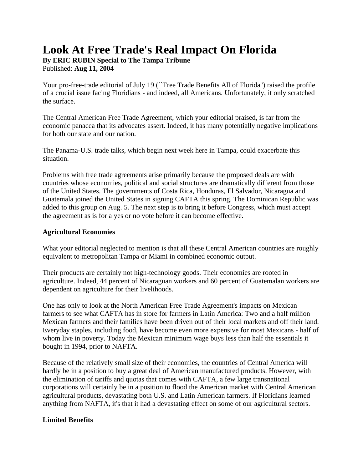## **Look At Free Trade's Real Impact On Florida**

**By ERIC RUBIN Special to The Tampa Tribune**

Published: **Aug 11, 2004**

Your pro-free-trade editorial of July 19 ("Free Trade Benefits All of Florida") raised the profile of a crucial issue facing Floridians - and indeed, all Americans. Unfortunately, it only scratched the surface.

The Central American Free Trade Agreement, which your editorial praised, is far from the economic panacea that its advocates assert. Indeed, it has many potentially negative implications for both our state and our nation.

The Panama-U.S. trade talks, which begin next week here in Tampa, could exacerbate this situation.

Problems with free trade agreements arise primarily because the proposed deals are with countries whose economies, political and social structures are dramatically different from those of the United States. The governments of Costa Rica, Honduras, El Salvador, Nicaragua and Guatemala joined the United States in signing CAFTA this spring. The Dominican Republic was added to this group on Aug. 5. The next step is to bring it before Congress, which must accept the agreement as is for a yes or no vote before it can become effective.

## **Agricultural Economies**

What your editorial neglected to mention is that all these Central American countries are roughly equivalent to metropolitan Tampa or Miami in combined economic output.

Their products are certainly not high-technology goods. Their economies are rooted in agriculture. Indeed, 44 percent of Nicaraguan workers and 60 percent of Guatemalan workers are dependent on agriculture for their livelihoods.

One has only to look at the North American Free Trade Agreement's impacts on Mexican farmers to see what CAFTA has in store for farmers in Latin America: Two and a half million Mexican farmers and their families have been driven out of their local markets and off their land. Everyday staples, including food, have become even more expensive for most Mexicans - half of whom live in poverty. Today the Mexican minimum wage buys less than half the essentials it bought in 1994, prior to NAFTA.

Because of the relatively small size of their economies, the countries of Central America will hardly be in a position to buy a great deal of American manufactured products. However, with the elimination of tariffs and quotas that comes with CAFTA, a few large transnational corporations will certainly be in a position to flood the American market with Central American agricultural products, devastating both U.S. and Latin American farmers. If Floridians learned anything from NAFTA, it's that it had a devastating effect on some of our agricultural sectors.

## **Limited Benefits**